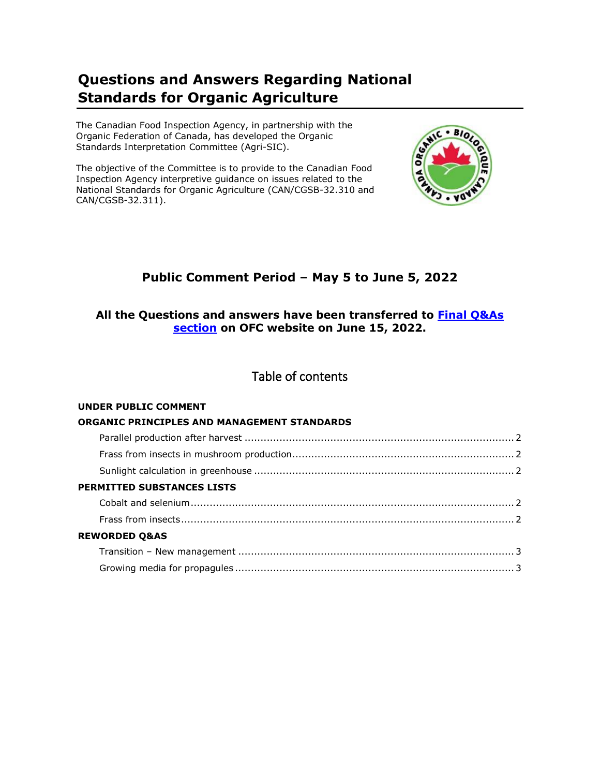# **Questions and Answers Regarding National Standards for Organic Agriculture**

The Canadian Food Inspection Agency, in partnership with the Organic Federation of Canada, has developed the Organic Standards Interpretation Committee (Agri-SIC).

The objective of the Committee is to provide to the Canadian Food Inspection Agency interpretive guidance on issues related to the National Standards for Organic Agriculture (CAN/CGSB-32.310 and CAN/CGSB-32.311).



# **Public Comment Period – May 5 to June 5, 2022**

# **All the Questions and answers have been transferred to Final Q&As section on OFC website on June 15, 2022.**

# Table of contents

# **UNDER PUBLIC COMMENT**

| ORGANIC PRINCIPLES AND MANAGEMENT STANDARDS |  |
|---------------------------------------------|--|
|                                             |  |
|                                             |  |
|                                             |  |
| <b>PERMITTED SUBSTANCES LISTS</b>           |  |
|                                             |  |
|                                             |  |
| <b>REWORDED Q&amp;AS</b>                    |  |
|                                             |  |
|                                             |  |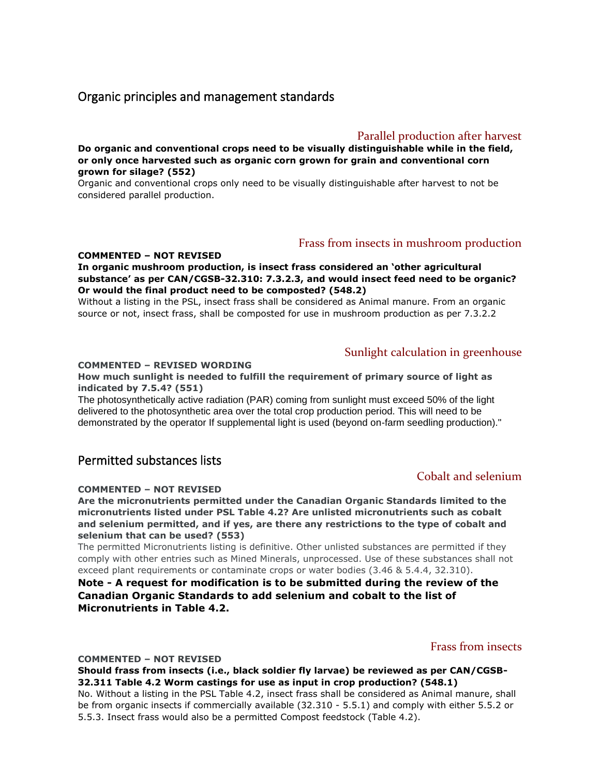# Organic principles and management standards

# Parallel production after harvest

**Do organic and conventional crops need to be visually distinguishable while in the field, or only once harvested such as organic corn grown for grain and conventional corn grown for silage? (552)**

Organic and conventional crops only need to be visually distinguishable after harvest to not be considered parallel production.

## Frass from insects in mushroom production

#### **COMMENTED – NOT REVISED**

#### **In organic mushroom production, is insect frass considered an 'other agricultural substance' as per CAN/CGSB-32.310: 7.3.2.3, and would insect feed need to be organic? Or would the final product need to be composted? (548.2)**

Without a listing in the PSL, insect frass shall be considered as Animal manure. From an organic source or not, insect frass, shall be composted for use in mushroom production as per 7.3.2.2

## Sunlight calculation in greenhouse

#### **COMMENTED – REVISED WORDING**

#### **How much sunlight is needed to fulfill the requirement of primary source of light as indicated by 7.5.4? (551)**

The photosynthetically active radiation (PAR) coming from sunlight must exceed 50% of the light delivered to the photosynthetic area over the total crop production period. This will need to be demonstrated by the operator If supplemental light is used (beyond on-farm seedling production)."

# Permitted substances lists

#### **COMMENTED – NOT REVISED**

**Are the micronutrients permitted under the Canadian Organic Standards limited to the micronutrients listed under PSL Table 4.2? Are unlisted micronutrients such as cobalt and selenium permitted, and if yes, are there any restrictions to the type of cobalt and selenium that can be used? (553)**

The permitted Micronutrients listing is definitive. Other unlisted substances are permitted if they comply with other entries such as Mined Minerals, unprocessed. Use of these substances shall not exceed plant requirements or contaminate crops or water bodies (3.46 & 5.4.4, 32.310).

### **Note - A request for modification is to be submitted during the review of the Canadian Organic Standards to add selenium and cobalt to the list of Micronutrients in Table 4.2.**

# Frass from insects

#### **COMMENTED – NOT REVISED**

#### **Should frass from insects (i.e., black soldier fly larvae) be reviewed as per CAN/CGSB-32.311 Table 4.2 Worm castings for use as input in crop production? (548.1)**

No. Without a listing in the PSL Table 4.2, insect frass shall be considered as Animal manure, shall be from organic insects if commercially available (32.310 - 5.5.1) and comply with either 5.5.2 or 5.5.3. Insect frass would also be a permitted Compost feedstock (Table 4.2).

# Cobalt and selenium